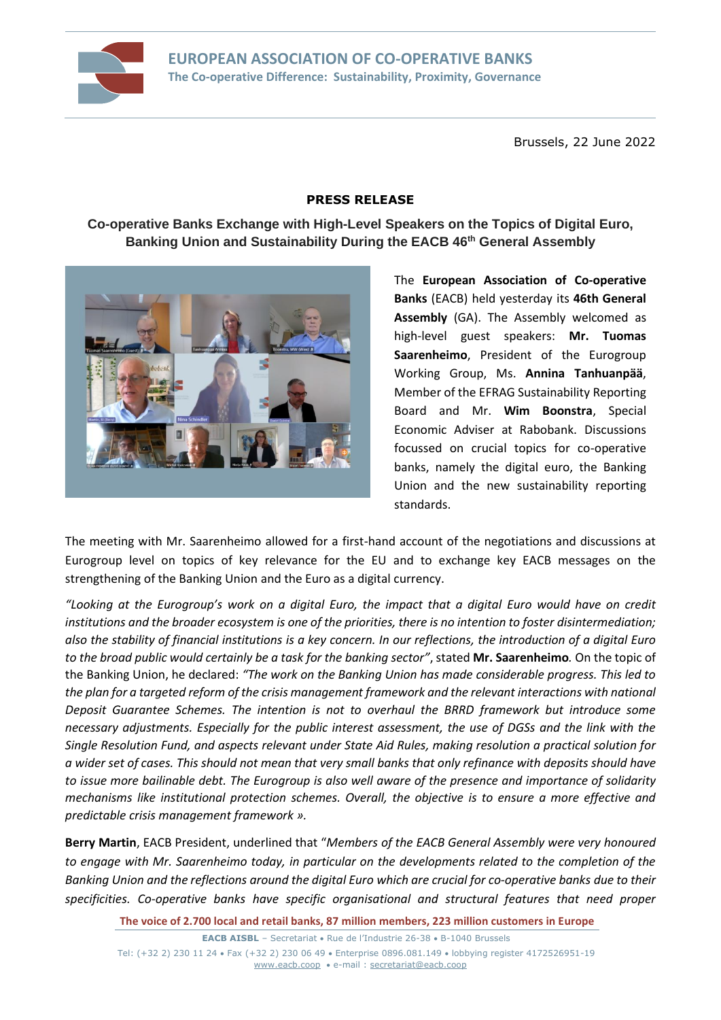

Brussels, 22 June 2022

## **PRESS RELEASE**

# **Co-operative Banks Exchange with High-Level Speakers on the Topics of Digital Euro, Banking Union and Sustainability During the EACB 46th General Assembly**



The **European Association of Co-operative Banks** (EACB) held yesterday its **46th General Assembly** (GA). The Assembly welcomed as high-level guest speakers: **Mr. Tuomas Saarenheimo**, President of the Eurogroup Working Group, Ms. **Annina Tanhuanpää**, Member of the EFRAG Sustainability Reporting Board and Mr. **Wim Boonstra**, Special Economic Adviser at Rabobank. Discussions focussed on crucial topics for co-operative banks, namely the digital euro, the Banking Union and the new sustainability reporting standards.

The meeting with Mr. Saarenheimo allowed for a first-hand account of the negotiations and discussions at Eurogroup level on topics of key relevance for the EU and to exchange key EACB messages on the strengthening of the Banking Union and the Euro as a digital currency.

*"Looking at the Eurogroup's work on a digital Euro, the impact that a digital Euro would have on credit institutions and the broader ecosystem is one of the priorities, there is no intention to foster disintermediation; also the stability of financial institutions is a key concern. In our reflections, the introduction of a digital Euro to the broad public would certainly be a task for the banking sector"*, stated **Mr. Saarenheimo***.* On the topic of the Banking Union, he declared: *"The work on the Banking Union has made considerable progress. This led to the plan for a targeted reform of the crisis management framework and the relevant interactions with national Deposit Guarantee Schemes. The intention is not to overhaul the BRRD framework but introduce some necessary adjustments. Especially for the public interest assessment, the use of DGSs and the link with the Single Resolution Fund, and aspects relevant under State Aid Rules, making resolution a practical solution for a wider set of cases. This should not mean that very small banks that only refinance with deposits should have to issue more bailinable debt. The Eurogroup is also well aware of the presence and importance of solidarity mechanisms like institutional protection schemes. Overall, the objective is to ensure a more effective and predictable crisis management framework ».*

**Berry Martin**, EACB President, underlined that "*Members of the EACB General Assembly were very honoured to engage with Mr. Saarenheimo today, in particular on the developments related to the completion of the Banking Union and the reflections around the digital Euro which are crucial for co-operative banks due to their specificities. Co-operative banks have specific organisational and structural features that need proper* 

**The voice of 2.700 local and retail banks, 87 million members, 223 million customers in Europe**

**EACB AISBL** – Secretariat • Rue de l'Industrie 26-38 • B-1040 Brussels Tel: (+32 2) 230 11 24 • Fax (+32 2) 230 06 49 • Enterprise 0896.081.149 • lobbying register 4172526951-19 [www.eacb.coop](http://www.eacb.coop/) • e-mail : [secretariat@eacb.coop](mailto:secretariat@eacb.coop)